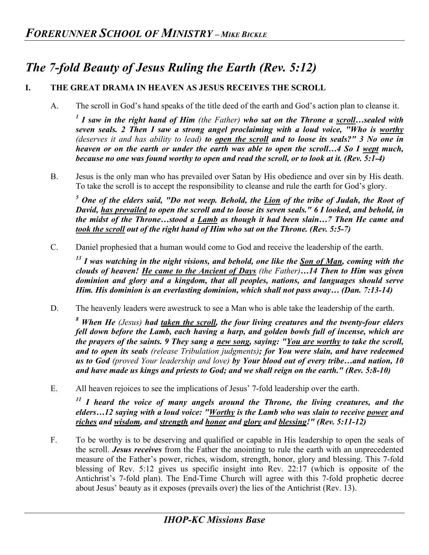## *The 7-fold Beauty of Jesus Ruling the Earth (Rev. 5:12)*

## **I. THE GREAT DRAMA IN HEAVEN AS JESUS RECEIVES THE SCROLL**

A. The scroll in God's hand speaks of the title deed of the earth and God's action plan to cleanse it.

*<sup>1</sup> I saw in the right hand of Him (the Father) who sat on the Throne a scroll…sealed with seven seals. 2 Then I saw a strong angel proclaiming with a loud voice, "Who is worthy (deserves it and has ability to lead) to open the scroll and to loose its seals?" 3 No one in heaven or on the earth or under the earth was able to open the scroll…4 So I wept much, because no one was found worthy to open and read the scroll, or to look at it. (Rev. 5:1-4)*

B. Jesus is the only man who has prevailed over Satan by His obedience and over sin by His death. To take the scroll is to accept the responsibility to cleanse and rule the earth for God's glory.

*<sup>5</sup> One of the elders said, "Do not weep. Behold, the Lion of the tribe of Judah, the Root of David, has prevailed to open the scroll and to loose its seven seals." 6 I looked, and behold, in the midst of the Throne…stood a Lamb as though it had been slain…7 Then He came and took the scroll out of the right hand of Him who sat on the Throne. (Rev. 5:5-7)*

C. Daniel prophesied that a human would come to God and receive the leadership of the earth.

*<sup>13</sup> I was watching in the night visions, and behold, one like the Son of Man, coming with the clouds of heaven! He came to the Ancient of Days (the Father)…14 Then to Him was given dominion and glory and a kingdom, that all peoples, nations, and languages should serve Him. His dominion is an everlasting dominion, which shall not pass away… (Dan. 7:13-14)* 

D. The heavenly leaders were awestruck to see a Man who is able take the leadership of the earth.

*<sup>8</sup> When He (Jesus) had taken the scroll, the four living creatures and the twenty-four elders fell down before the Lamb, each having a harp, and golden bowls full of incense, which are the prayers of the saints. 9 They sang a new song, saying: "You are worthy to take the scroll, and to open its seals (release Tribulation judgments); for You were slain, and have redeemed us to God (proved Your leadership and love) by Your blood out of every tribe…and nation, 10 and have made us kings and priests to God; and we shall reign on the earth." (Rev. 5:8-10)* 

E. All heaven rejoices to see the implications of Jesus' 7-fold leadership over the earth.

*<sup>11</sup> I heard the voice of many angels around the Throne, the living creatures, and the elders…12 saying with a loud voice: "Worthy is the Lamb who was slain to receive power and riches and wisdom, and strength and honor and glory and blessing!" (Rev. 5:11-12)* 

F. To be worthy is to be deserving and qualified or capable in His leadership to open the seals of the scroll. *Jesus receives* from the Father the anointing to rule the earth with an unprecedented measure of the Father's power, riches, wisdom, strength, honor, glory and blessing. This 7-fold blessing of Rev. 5:12 gives us specific insight into Rev. 22:17 (which is opposite of the Antichrist's 7-fold plan). The End-Time Church will agree with this 7-fold prophetic decree about Jesus' beauty as it exposes (prevails over) the lies of the Antichrist (Rev. 13).